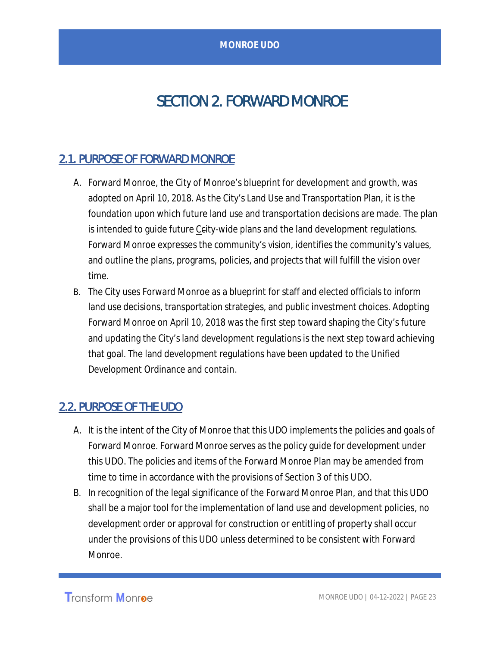## SECTION 2. FORWARD MONROE

## 2.1. PURPOSE OF FORWARD MONROE

- A. Forward Monroe, the City of Monroe's blueprint for development and growth, was adopted on April 10, 2018. As the City's Land Use and Transportation Plan, it is the foundation upon which future land use and transportation decisions are made. The plan is intended to quide future Ceity-wide plans and the land development regulations. Forward Monroe expresses the community's vision, identifies the community's values, and outline the plans, programs, policies, and projects that will fulfill the vision over time.
- B. The City uses Forward Monroe as a blueprint for staff and elected officials to inform land use decisions, transportation strategies, and public investment choices. Adopting Forward Monroe on April 10, 2018 was the first step toward shaping the City's future and updating the City's land development regulations is the next step toward achieving that goal. The land development regulations have been updated to the Unified Development Ordinance and contain.

## 2.2. PURPOSE OF THE UDO

- A. It is the intent of the City of Monroe that this UDO implements the policies and goals of Forward Monroe. Forward Monroe serves as the policy guide for development under this UDO. The policies and items of the Forward Monroe Plan may be amended from time to time in accordance with the provisions of Section 3 of this UDO.
- B. In recognition of the legal significance of the Forward Monroe Plan, and that this UDO shall be a major tool for the implementation of land use and development policies, no development order or approval for construction or entitling of property shall occur under the provisions of this UDO unless determined to be consistent with Forward Monroe.

**Transform Monroe**